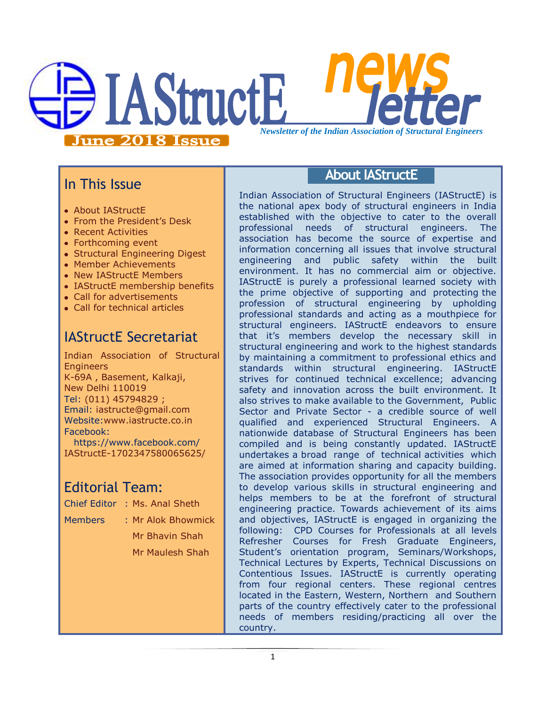

## In This Issue

- About IAStructE
- From the President's Desk
- Recent Activities
- Forthcoming event
- Structural Engineering Digest
- Member Achievements
- New IAStructE Members
- IAStructE membership benefits
- Call for advertisements
- Call for technical articles

# IAStructE Secretariat

Indian Association of Structural **Engineers** K-69A , Basement, Kalkaji, New Delhi 110019 Tel: (011) 45794829 ; Email: iastructe@gmail.com Website[:www.iastructe.co.in](http://www.iastructe.co.in/) Facebook: [https://www.facebook.com/](https://www.facebook.com/%20IAStructE-1702347580065625/) 

[IAStructE-1702347580065625/](https://www.facebook.com/%20IAStructE-1702347580065625/)

# Editorial Team:

- Chief Editor : Ms. Anal Sheth
- Members : Mr Alok Bhowmick

Mr Bhavin Shah Mr Maulesh Shah

## **About IAStructE**

Indian Association of Structural Engineers (IAStructE) is the national apex body of structural engineers in India established with the objective to cater to the overall professional needs of structural engineers. The association has become the source of expertise and information concerning all issues that involve structural engineering and public safety within the built environment. It has no commercial aim or objective. IAStructE is purely a professional learned society with the prime objective of supporting and protecting the profession of structural engineering by upholding professional standards and acting as a mouthpiece for structural engineers. IAStructE endeavors to ensure that it"s members develop the necessary skill in structural engineering and work to the highest standards by maintaining a commitment to professional ethics and standards within structural engineering. IAStructE strives for continued technical excellence; advancing safety and innovation across the built environment. It also strives to make available to the Government, Public Sector and Private Sector - a credible source of well qualified and experienced Structural Engineers. A nationwide database of Structural Engineers has been compiled and is being constantly updated. IAStructE undertakes a broad range of technical activities which are aimed at information sharing and capacity building. The association provides opportunity for all the members to develop various skills in structural engineering and helps members to be at the forefront of structural engineering practice. Towards achievement of its aims and objectives, IAStructE is engaged in organizing the following: CPD Courses for Professionals at all levels Refresher Courses for Fresh Graduate Engineers, Student"s orientation program, Seminars/Workshops, Technical Lectures by Experts, Technical Discussions on Contentious Issues. IAStructE is currently operating from four regional centers. These regional centres located in the Eastern, Western, Northern and Southern parts of the country effectively cater to the professional needs of members residing/practicing all over the country.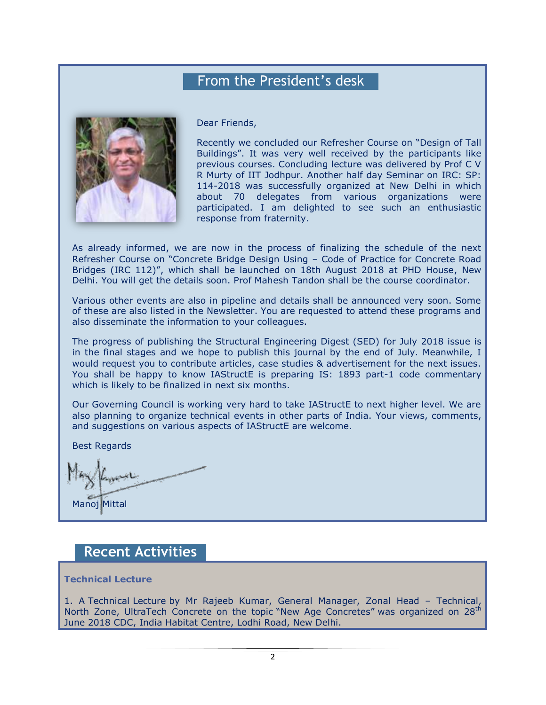## From the President's desk



Dear Friends,

Recently we concluded our Refresher Course on "Design of Tall Buildings". It was very well received by the participants like previous courses. Concluding lecture was delivered by Prof C V R Murty of IIT Jodhpur. Another half day Seminar on IRC: SP: 114-2018 was successfully organized at New Delhi in which about 70 delegates from various organizations were participated. I am delighted to see such an enthusiastic response from fraternity.

As already informed, we are now in the process of finalizing the schedule of the next Refresher Course on "Concrete Bridge Design Using – Code of Practice for Concrete Road Bridges (IRC 112)", which shall be launched on 18th August 2018 at PHD House, New Delhi. You will get the details soon. Prof Mahesh Tandon shall be the course coordinator.

Various other events are also in pipeline and details shall be announced very soon. Some of these are also listed in the Newsletter. You are requested to attend these programs and also disseminate the information to your colleagues.

The progress of publishing the Structural Engineering Digest (SED) for July 2018 issue is in the final stages and we hope to publish this journal by the end of July. Meanwhile, I would request you to contribute articles, case studies & advertisement for the next issues. You shall be happy to know IAStructE is preparing IS: 1893 part-1 code commentary which is likely to be finalized in next six months.

Our Governing Council is working very hard to take IAStructE to next higher level. We are also planning to organize technical events in other parts of India. Your views, comments, and suggestions on various aspects of IAStructE are welcome.

Best Regards

Manoj Mittal

### **Recent Activities**

#### **Technical Lecture**

1. A Technical Lecture by Mr Rajeeb Kumar, General Manager, Zonal Head – Technical, North Zone, UltraTech Concrete on the topic "New Age Concretes" was organized on 28<sup>th</sup> June 2018 CDC, India Habitat Centre, Lodhi Road, New Delhi.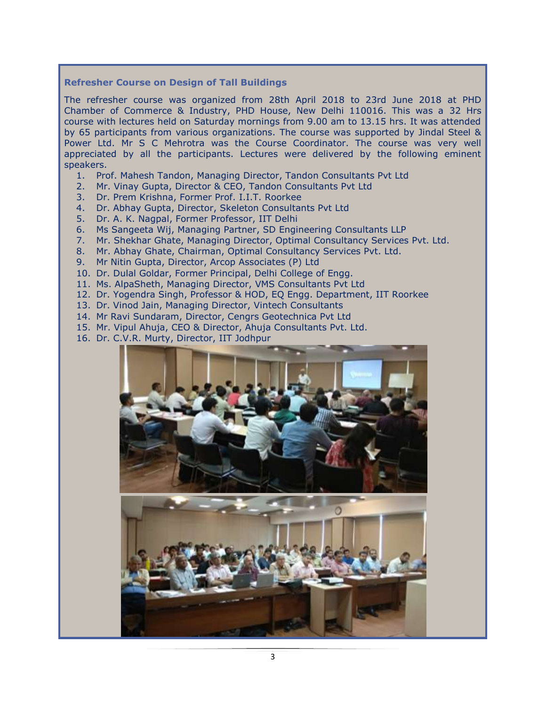#### **Refresher Course on Design of Tall Buildings**

The refresher course was organized from 28th April 2018 to 23rd June 2018 at PHD Chamber of Commerce & Industry, PHD House, New Delhi 110016. This was a 32 Hrs course with lectures held on Saturday mornings from 9.00 am to 13.15 hrs. It was attended by 65 participants from various organizations. The course was supported by Jindal Steel & Power Ltd. Mr S C Mehrotra was the Course Coordinator. The course was very well appreciated by all the participants. Lectures were delivered by the following eminent speakers.

- 1. Prof. Mahesh Tandon, Managing Director, Tandon Consultants Pvt Ltd
- 2. Mr. Vinay Gupta, Director & CEO, Tandon Consultants Pvt Ltd
- 3. Dr. Prem Krishna, Former Prof. I.I.T. Roorkee
- 4. Dr. Abhay Gupta, Director, Skeleton Consultants Pvt Ltd
- 5. Dr. A. K. Nagpal, Former Professor, IIT Delhi
- 6. Ms Sangeeta Wij, Managing Partner, SD Engineering Consultants LLP
- 7. Mr. Shekhar Ghate, Managing Director, Optimal Consultancy Services Pvt. Ltd.
- 8. Mr. Abhay Ghate, Chairman, Optimal Consultancy Services Pvt. Ltd.
- 9. Mr Nitin Gupta, Director, Arcop Associates (P) Ltd
- 10. Dr. Dulal Goldar, Former Principal, Delhi College of Engg.
- 11. Ms. AlpaSheth, Managing Director, VMS Consultants Pvt Ltd
- 12. Dr. Yogendra Singh, Professor & HOD, EQ Engg. Department, IIT Roorkee
- 13. Dr. Vinod Jain, Managing Director, Vintech Consultants
- 14. Mr Ravi Sundaram, Director, Cengrs Geotechnica Pvt Ltd
- 15. Mr. Vipul Ahuja, CEO & Director, Ahuja Consultants Pvt. Ltd.
- 16. Dr. C.V.R. Murty, Director, IIT Jodhpur

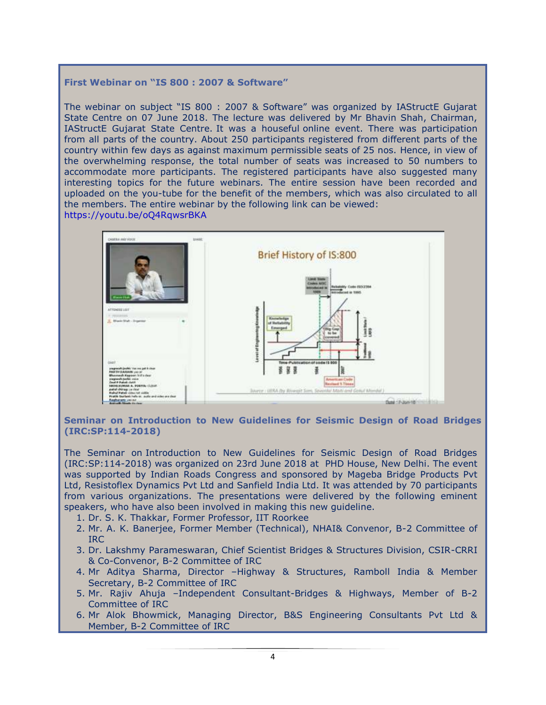#### **First Webinar on "IS 800 : 2007 & Software"**

The webinar on subject "IS 800 : 2007 & Software" was organized by IAStructE Gujarat State Centre on 07 June 2018. The lecture was delivered by Mr Bhavin Shah, Chairman, IAStructE Gujarat State Centre. It was a houseful online event. There was participation from all parts of the country. About 250 participants registered from different parts of the country within few days as against maximum permissible seats of 25 nos. Hence, in view of the overwhelming response, the total number of seats was increased to 50 numbers to accommodate more participants. The registered participants have also suggested many interesting topics for the future webinars. The entire session have been recorded and uploaded on the you-tube for the benefit of the members, which was also circulated to all the members. The entire webinar by the following link can be viewed: <https://youtu.be/oQ4RqwsrBKA>



**Seminar on Introduction to New Guidelines for Seismic Design of Road Bridges (IRC:SP:114-2018)**

The Seminar on Introduction to New Guidelines for Seismic Design of Road Bridges (IRC:SP:114-2018) was organized on 23rd June 2018 at PHD House, New Delhi. The event was supported by Indian Roads Congress and sponsored by Mageba Bridge Products Pvt Ltd, Resistoflex Dynamics Pvt Ltd and Sanfield India Ltd. It was attended by 70 participants from various organizations. The presentations were delivered by the following eminent speakers, who have also been involved in making this new guideline.

- 1. Dr. S. K. Thakkar, Former Professor, IIT Roorkee
- 2. Mr. A. K. Banerjee, Former Member (Technical), NHAI& Convenor, B-2 Committee of IRC
- 3. Dr. Lakshmy Parameswaran, Chief Scientist Bridges & Structures Division, CSIR-CRRI & Co-Convenor, B-2 Committee of IRC
- 4. Mr Aditya Sharma, Director –Highway & Structures, Ramboll India & Member Secretary, B-2 Committee of IRC
- 5. Mr. Rajiv Ahuja –Independent Consultant-Bridges & Highways, Member of B-2 Committee of IRC
- 6. Mr Alok Bhowmick, Managing Director, B&S Engineering Consultants Pvt Ltd & Member, B-2 Committee of IRC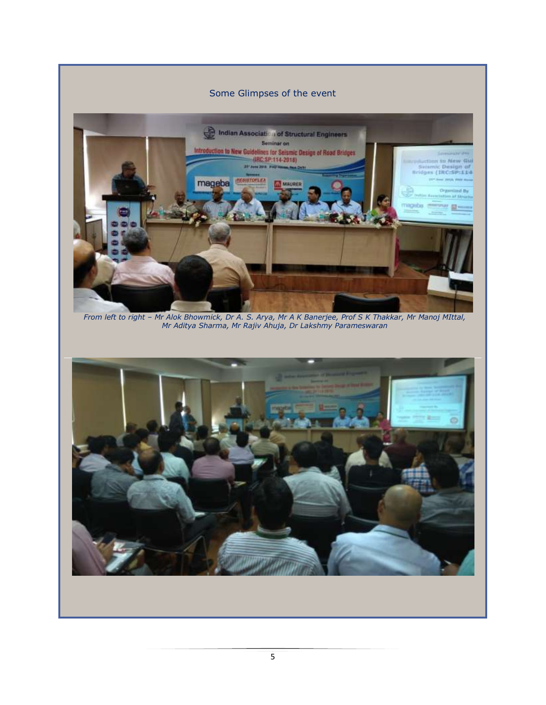

*Mr Aditya Sharma, Mr Rajiv Ahuja, Dr Lakshmy Parameswaran*

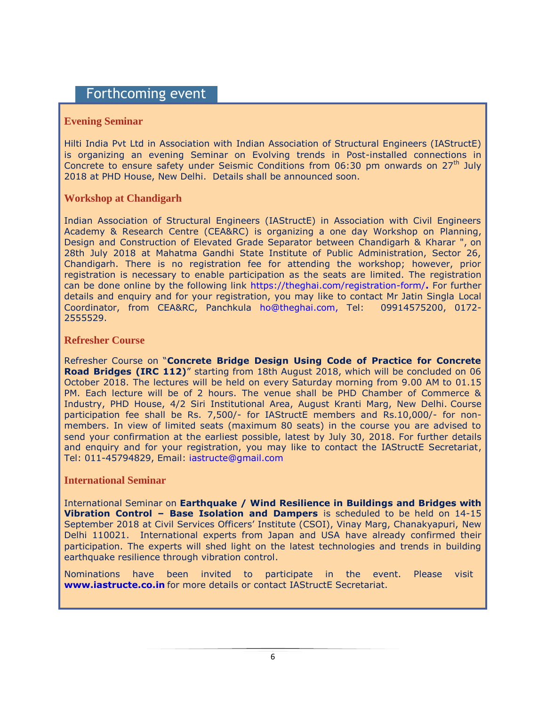### Forthcoming event

#### **Evening Seminar**

Hilti India Pvt Ltd in Association with Indian Association of Structural Engineers (IAStructE) is organizing an evening Seminar on Evolving trends in Post-installed connections in Concrete to ensure safety under Seismic Conditions from  $06:30$  pm onwards on  $27<sup>th</sup>$  July 2018 at PHD House, New Delhi. Details shall be announced soon.

#### **Workshop at Chandigarh**

Indian Association of Structural Engineers (IAStructE) in Association with Civil Engineers Academy & Research Centre (CEA&RC) is organizing a one day Workshop on Planning, Design and Construction of Elevated Grade Separator between Chandigarh & Kharar ", on 28th July 2018 at Mahatma Gandhi State Institute of Public Administration, Sector 26, Chandigarh. There is no registration fee for attending the workshop; however, prior registration is necessary to enable participation as the seats are limited. The registration can be done online by the following link<https://theghai.com/registration-form/>**.** For further details and enquiry and for your registration, you may like to contact Mr Jatin Singla Local Coordinator, from CEA&RC, Panchkula [ho@theghai.com,](mailto:ho@theghai.com) Tel: 09914575200, 0172- 2555529.

#### **Refresher Course**

Refresher Course on "**Concrete Bridge Design Using Code of Practice for Concrete Road Bridges (IRC 112)**" starting from 18th August 2018, which will be concluded on 06 October 2018. The lectures will be held on every Saturday morning from 9.00 AM to 01.15 PM. Each lecture will be of 2 hours. The venue shall be PHD Chamber of Commerce & Industry, PHD House, 4/2 Siri Institutional Area, August Kranti Marg, New Delhi. Course participation fee shall be Rs. 7,500/- for IAStructE members and Rs.10,000/- for nonmembers. In view of limited seats (maximum 80 seats) in the course you are advised to send your confirmation at the earliest possible, latest by July 30, 2018. For further details and enquiry and for your registration, you may like to contact the IAStructE Secretariat, Tel: 011-45794829, Email: [iastructe@gmail.com](mailto:iastructe@gmail.com)

#### **International Seminar**

International Seminar on **Earthquake / Wind Resilience in Buildings and Bridges with Vibration Control – Base Isolation and Dampers** is scheduled to be held on 14-15 September 2018 at Civil Services Officers" Institute (CSOI), Vinay Marg, Chanakyapuri, New Delhi 110021. International experts from Japan and USA have already confirmed their participation. The experts will shed light on the latest technologies and trends in building earthquake resilience through vibration control.

Nominations have been invited to participate in the event. Please visit **[www.iastructe.co.in](http://www.iastructe.co.in/)** for more details or contact IAStructE Secretariat.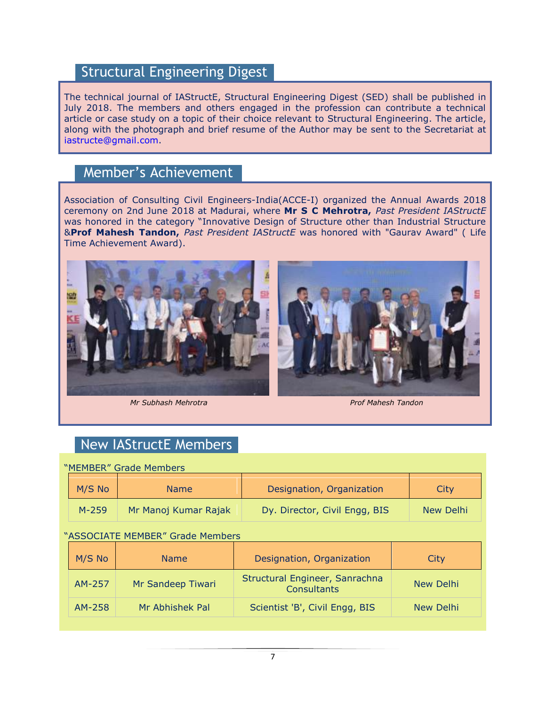## Structural Engineering Digest

The technical journal of IAStructE, Structural Engineering Digest (SED) shall be published in July 2018. The members and others engaged in the profession can contribute a technical article or case study on a topic of their choice relevant to Structural Engineering. The article, along with the photograph and brief resume of the Author may be sent to the Secretariat at [iastructe@gmail.com.](mailto:iastructe@gmail.com)

### Member's Achievement

Association of Consulting Civil Engineers-India(ACCE-I) organized the Annual Awards 2018 ceremony on 2nd June 2018 at Madurai, where **Mr S C Mehrotra,** *Past President IAStructE* was honored in the category "Innovative Design of Structure other than Industrial Structure &**Prof Mahesh Tandon,** *Past President IAStructE* was honored with "Gaurav Award" ( Life Time Achievement Award).







### New IAStructE Members

| "MEMBER" Grade Members           |           |                      |                                                      |           |
|----------------------------------|-----------|----------------------|------------------------------------------------------|-----------|
|                                  | M/S No    | <b>Name</b>          | Designation, Organization                            | City      |
|                                  | $M - 259$ | Mr Manoj Kumar Rajak | Dy. Director, Civil Engg, BIS                        | New Delhi |
| "ASSOCIATE MEMBER" Grade Members |           |                      |                                                      |           |
|                                  | M/S No    | <b>Name</b>          | Designation, Organization                            | City      |
|                                  | AM-257    | Mr Sandeep Tiwari    | Structural Engineer, Sanrachna<br><b>Consultants</b> | New Delhi |
|                                  | AM-258    | Mr Abhishek Pal      | Scientist 'B', Civil Engg, BIS                       | New Delhi |